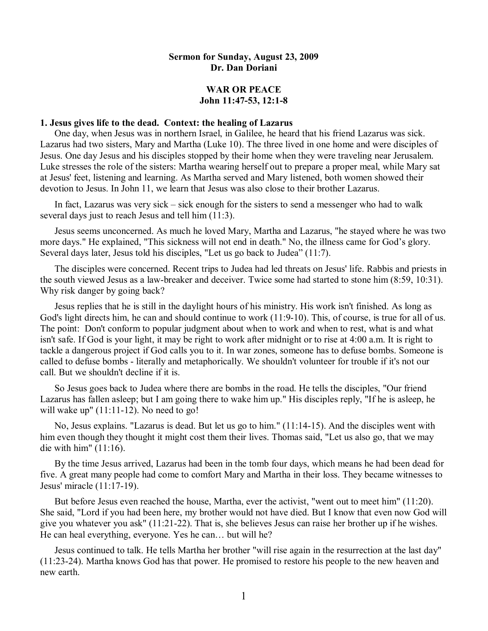## **Sermon for Sunday, August 23, 2009 Dr. Dan Doriani**

## **WAR OR PEACE John** 11:47-53, 12:1-8

# **1. Jesus gives life to the dead. Context: the healing of Lazarus**

One day, when Jesus was in northern Israel, in Galilee, he heard that his friend Lazarus was sick. Lazarus had two sisters, Mary and Martha (Luke 10). The three lived in one home and were disciples of Jesus. One day Jesus and his disciples stopped by their home when they were traveling near Jerusalem. Luke stresses the role of the sisters: Martha wearing herself out to prepare a proper meal, while Mary sat at Jesus' feet, listening and learning. As Martha served and Mary listened, both women showed their devotion to Jesus. In John 11, we learn that Jesus was also close to their brother Lazarus.

In fact, Lazarus was very sick – sick enough for the sisters to send a messenger who had to walk several days just to reach Jesus and tell him (11:3).

Jesus seems unconcerned. As much he loved Mary, Martha and Lazarus, "he stayed where he was two more days." He explained, "This sickness will not end in death." No, the illness came for God's glory. Several days later, Jesus told his disciples, "Let us go back to Judea" (11:7).

The disciples were concerned. Recent trips to Judea had led threats on Jesus' life. Rabbis and priests in the south viewed Jesus as a law-breaker and deceiver. Twice some had started to stone him (8:59, 10:31). Why risk danger by going back?

Jesus replies that he is still in the daylight hours of his ministry. His work isn't finished. As long as God's light directs him, he can and should continue to work (11:9-10). This, of course, is true for all of us. The point: Don't conform to popular judgment about when to work and when to rest, what is and what isn't safe. If God is your light, it may be right to work after midnight or to rise at 4:00 a.m. It is right to tackle a dangerous project if God calls you to it. In war zones, someone has to defuse bombs. Someone is called to defuse bombs - literally and metaphorically. We shouldn't volunteer for trouble if it's not our call. But we shouldn't decline if it is.

So Jesus goes back to Judea where there are bombs in the road. He tells the disciples, "Our friend Lazarus has fallen asleep; but I am going there to wake him up." His disciples reply, "If he is asleep, he will wake up"  $(11:11-12)$ . No need to go!

No, Jesus explains. "Lazarus is dead. But let us go to him." (11:1415). And the disciples went with him even though they thought it might cost them their lives. Thomas said, "Let us also go, that we may die with him" (11:16).

By the time Jesus arrived, Lazarus had been in the tomb four days, which means he had been dead for five. A great many people had come to comfort Mary and Martha in their loss. They became witnesses to Jesus' miracle (11:17-19).

But before Jesus even reached the house, Martha, ever the activist, "went out to meet him" (11:20). She said, "Lord if you had been here, my brother would not have died. But I know that even now God will give you whatever you ask"  $(11:21-22)$ . That is, she believes Jesus can raise her brother up if he wishes. He can heal everything, everyone. Yes he can… but will he?

Jesus continued to talk. He tells Martha her brother "will rise again in the resurrection at the last day"  $(11:23-24)$ . Martha knows God has that power. He promised to restore his people to the new heaven and new earth.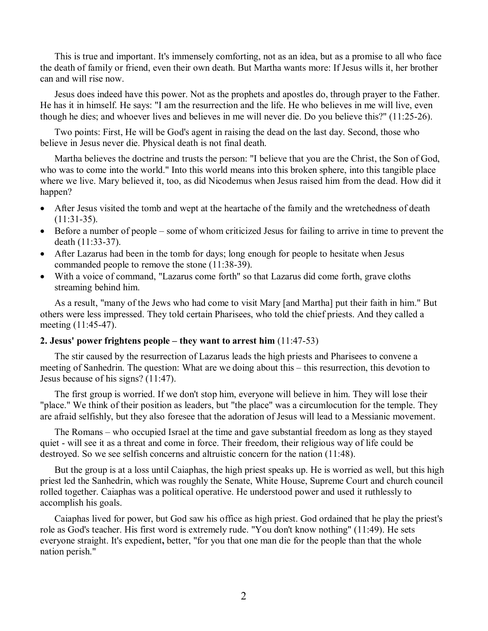This is true and important. It's immensely comforting, not as an idea, but as a promise to all who face the death of family or friend, even their own death. But Martha wants more: If Jesus wills it, her brother can and will rise now.

Jesus does indeed have this power. Not as the prophets and apostles do, through prayer to the Father. He has it in himself. He says: "I am the resurrection and the life. He who believes in me will live, even though he dies; and whoever lives and believes in me will never die. Do you believe this?" (11:2526).

Two points: First, He will be God's agent in raising the dead on the last day. Second, those who believe in Jesus never die. Physical death is not final death.

Martha believes the doctrine and trusts the person: "I believe that you are the Christ, the Son of God, who was to come into the world." Into this world means into this broken sphere, into this tangible place where we live. Mary believed it, too, as did Nicodemus when Jesus raised him from the dead. How did it happen?

- After Jesus visited the tomb and wept at the heartache of the family and the wretchedness of death  $(11:31-35)$ .
- · Before a number of people some of whom criticized Jesus for failing to arrive in time to prevent the death (11:33-37).
- After Lazarus had been in the tomb for days; long enough for people to hesitate when Jesus commanded people to remove the stone  $(11:38-39)$ .
- With a voice of command, "Lazarus come forth" so that Lazarus did come forth, grave cloths streaming behind him.

As a result, "many of the Jews who had come to visit Mary [and Martha] put their faith in him." But others were less impressed. They told certain Pharisees, who told the chief priests. And they called a meeting (11:45-47).

# **2. Jesus' power frightens people – they want to arrest him** (11:4753)

The stir caused by the resurrection of Lazarus leads the high priests and Pharisees to convene a meeting of Sanhedrin. The question: What are we doing about this – this resurrection, this devotion to Jesus because of his signs? (11:47).

The first group is worried. If we don't stop him, everyone will believe in him. They will lose their "place." We think of their position as leaders, but "the place" was a circumlocution for the temple. They are afraid selfishly, but they also foresee that the adoration of Jesus will lead to a Messianic movement.

The Romans – who occupied Israel at the time and gave substantial freedom as long as they stayed quiet - will see it as a threat and come in force. Their freedom, their religious way of life could be destroyed. So we see selfish concerns and altruistic concern for the nation (11:48).

But the group is at a loss until Caiaphas, the high priest speaks up. He is worried as well, but this high priest led the Sanhedrin, which was roughly the Senate, White House, Supreme Court and church council rolled together. Caiaphas was a political operative. He understood power and used it ruthlessly to accomplish his goals.

Caiaphas lived for power, but God saw his office as high priest. God ordained that he play the priest's role as God's teacher. His first word is extremely rude. "You don't know nothing" (11:49). He sets everyone straight. It's expedient**,** better, "for you that one man die for the people than that the whole nation perish."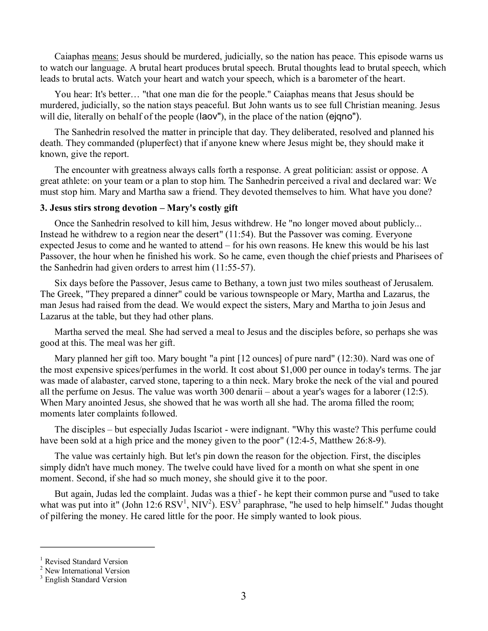Caiaphas means: Jesus should be murdered, judicially, so the nation has peace. This episode warns us to watch our language. A brutal heart produces brutal speech. Brutal thoughts lead to brutal speech, which leads to brutal acts. Watch your heart and watch your speech, which is a barometer of the heart.

You hear: It's better… "that one man die for the people." Caiaphas means that Jesus should be murdered, judicially, so the nation stays peaceful. But John wants us to see full Christian meaning. Jesus will die, literally on behalf of the people (laov''), in the place of the nation (eigno'').

The Sanhedrin resolved the matter in principle that day. They deliberated, resolved and planned his death. They commanded (pluperfect) that if anyone knew where Jesus might be, they should make it known, give the report.

The encounter with greatness always calls forth a response. A great politician: assist or oppose. A great athlete: on your team or a plan to stop him. The Sanhedrin perceived a rival and declared war: We must stop him. Mary and Martha saw a friend. They devoted themselves to him. What have you done?

#### **3. Jesus stirs strong devotion – Mary's costly gift**

Once the Sanhedrin resolved to kill him, Jesus withdrew. He "no longer moved about publicly... Instead he withdrew to a region near the desert" (11:54). But the Passover was coming. Everyone expected Jesus to come and he wanted to attend – for his own reasons. He knew this would be his last Passover, the hour when he finished his work. So he came, even though the chief priests and Pharisees of the Sanhedrin had given orders to arrest him  $(11:55-57)$ .

Six days before the Passover, Jesus came to Bethany, a town just two miles southeast of Jerusalem. The Greek, "They prepared a dinner" could be various townspeople or Mary, Martha and Lazarus, the man Jesus had raised from the dead. We would expect the sisters, Mary and Martha to join Jesus and Lazarus at the table, but they had other plans.

Martha served the meal. She had served a meal to Jesus and the disciples before, so perhaps she was good at this. The meal was her gift.

Mary planned her gift too. Mary bought "a pint [12 ounces] of pure nard" (12:30). Nard was one of the most expensive spices/perfumes in the world. It cost about \$1,000 per ounce in today's terms. The jar was made of alabaster, carved stone, tapering to a thin neck. Mary broke the neck of the vial and poured all the perfume on Jesus. The value was worth 300 denarii – about a year's wages for a laborer (12:5). When Mary anointed Jesus, she showed that he was worth all she had. The aroma filled the room; moments later complaints followed.

The disciples – but especially Judas Iscariot - were indignant. "Why this waste? This perfume could have been sold at a high price and the money given to the poor" (12:4-5, Matthew 26:8-9).

The value was certainly high. But let's pin down the reason for the objection. First, the disciples simply didn't have much money. The twelve could have lived for a month on what she spent in one moment. Second, if she had so much money, she should give it to the poor.

But again, Judas led the complaint. Judas was a thief - he kept their common purse and "used to take what was put into it" (John 12:6  $\text{RSV}^1$ , NIV<sup>2</sup>).  $\text{ESV}^3$  paraphrase, "he used to help himself." Judas thought of pilfering the money. He cared little for the poor. He simply wanted to look pious.

 $\frac{1}{2}$  Revised Standard Version  $\frac{2}{2}$  New International Version

<sup>&</sup>lt;sup>3</sup> English Standard Version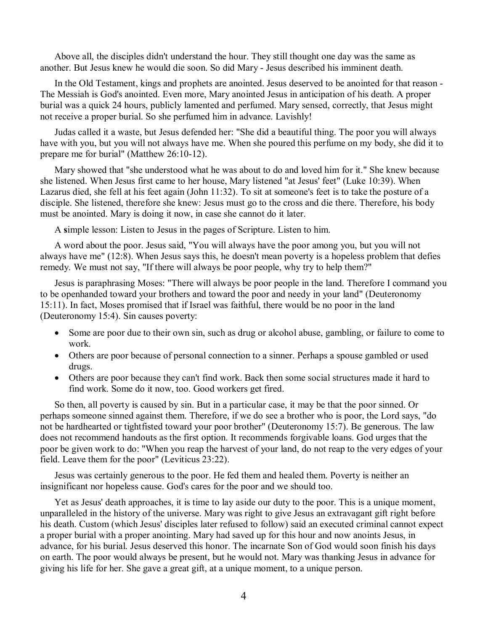Above all, the disciples didn't understand the hour. They still thought one day was the same as another. But Jesus knew he would die soon. So did Mary Jesus described his imminent death.

In the Old Testament, kings and prophets are anointed. Jesus deserved to be anointed for that reason -The Messiah is God's anointed. Even more, Mary anointed Jesus in anticipation of his death. A proper burial was a quick 24 hours, publicly lamented and perfumed. Mary sensed, correctly, that Jesus might not receive a proper burial. So she perfumed him in advance. Lavishly!

Judas called it a waste, but Jesus defended her: "She did a beautiful thing. The poor you will always have with you, but you will not always have me. When she poured this perfume on my body, she did it to prepare me for burial" (Matthew  $26:10-12$ ).

Mary showed that "she understood what he was about to do and loved him for it." She knew because she listened. When Jesus first came to her house, Mary listened "at Jesus' feet" (Luke 10:39). When Lazarus died, she fell at his feet again (John 11:32). To sit at someone's feet is to take the posture of a disciple. She listened, therefore she knew: Jesus must go to the cross and die there. Therefore, his body must be anointed. Mary is doing it now, in case she cannot do it later.

A **s**imple lesson: Listen to Jesus in the pages of Scripture. Listen to him.

A word about the poor. Jesus said, "You will always have the poor among you, but you will not always have me" (12:8). When Jesus says this, he doesn't mean poverty is a hopeless problem that defies remedy. We must not say, "If there will always be poor people, why try to help them?"

Jesus is paraphrasing Moses: "There will always be poor people in the land. Therefore I command you to be openhanded toward your brothers and toward the poor and needy in your land" (Deuteronomy 15:11). In fact, Moses promised that if Israel was faithful, there would be no poor in the land (Deuteronomy 15:4). Sin causes poverty:

- Some are poor due to their own sin, such as drug or alcohol abuse, gambling, or failure to come to work.
- · Others are poor because of personal connection to a sinner. Perhaps a spouse gambled or used drugs.
- · Others are poor because they can't find work. Back then some social structures made it hard to find work. Some do it now, too. Good workers get fired.

So then, all poverty is caused by sin. But in a particular case, it may be that the poor sinned. Or perhaps someone sinned against them. Therefore, if we do see a brother who is poor, the Lord says, "do not be hardhearted or tightfisted toward your poor brother" (Deuteronomy 15:7). Be generous. The law does not recommend handouts as the first option. It recommends forgivable loans. God urges that the poor be given work to do: "When you reap the harvest of your land, do not reap to the very edges of your field. Leave them for the poor" (Leviticus 23:22).

Jesus was certainly generous to the poor. He fed them and healed them. Poverty is neither an insignificant nor hopeless cause. God's cares for the poor and we should too.

Yet as Jesus' death approaches, it is time to lay aside our duty to the poor. This is a unique moment, unparalleled in the history of the universe. Mary was right to give Jesus an extravagant gift right before his death. Custom (which Jesus' disciples later refused to follow) said an executed criminal cannot expect a proper burial with a proper anointing. Mary had saved up for this hour and now anoints Jesus, in advance, for his burial. Jesus deserved this honor. The incarnate Son of God would soon finish his days on earth. The poor would always be present, but he would not. Mary was thanking Jesus in advance for giving his life for her. She gave a great gift, at a unique moment, to a unique person.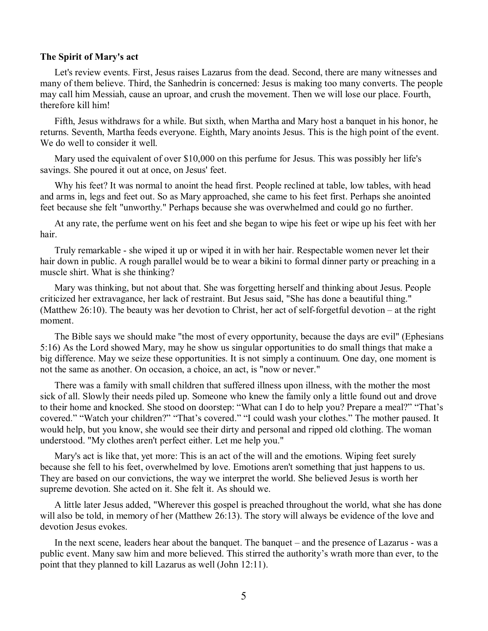#### **The Spirit of Mary's act**

Let's review events. First, Jesus raises Lazarus from the dead. Second, there are many witnesses and many of them believe. Third, the Sanhedrin is concerned: Jesus is making too many converts. The people may call him Messiah, cause an uproar, and crush the movement. Then we will lose our place. Fourth, therefore kill him!

Fifth, Jesus withdraws for a while. But sixth, when Martha and Mary host a banquet in his honor, he returns. Seventh, Martha feeds everyone. Eighth, Mary anoints Jesus. This is the high point of the event. We do well to consider it well.

Mary used the equivalent of over \$10,000 on this perfume for Jesus. This was possibly her life's savings. She poured it out at once, on Jesus' feet.

Why his feet? It was normal to anoint the head first. People reclined at table, low tables, with head and arms in, legs and feet out. So as Mary approached, she came to his feet first. Perhaps she anointed feet because she felt "unworthy." Perhaps because she was overwhelmed and could go no further.

At any rate, the perfume went on his feet and she began to wipe his feet or wipe up his feet with her hair.<br>Truly remarkable - she wiped it up or wiped it in with her hair. Respectable women never let their

hair down in public. A rough parallel would be to wear a bikini to formal dinner party or preaching in a muscle shirt. What is she thinking?

Mary was thinking, but not about that. She was forgetting herself and thinking about Jesus. People criticized her extravagance, her lack of restraint. But Jesus said, "She has done a beautiful thing." (Matthew 26:10). The beauty was her devotion to Christ, her act of self-forgetful devotion – at the right moment.

The Bible says we should make "the most of every opportunity, because the days are evil" (Ephesians 5:16) As the Lord showed Mary, may he show us singular opportunities to do small things that make a big difference. May we seize these opportunities. It is not simply a continuum. One day, one moment is not the same as another. On occasion, a choice, an act, is "now or never."

There was a family with small children that suffered illness upon illness, with the mother the most sick of all. Slowly their needs piled up. Someone who knew the family only a little found out and drove to their home and knocked. She stood on doorstep: "What can I do to help you? Prepare a meal?" "That's covered." "Watch your children?" "That's covered." "I could wash your clothes." The mother paused. It would help, but you know, she would see their dirty and personal and ripped old clothing. The woman understood. "My clothes aren't perfect either. Let me help you."

Mary's act is like that, yet more: This is an act of the will and the emotions. Wiping feet surely because she fell to his feet, overwhelmed by love. Emotions aren't something that just happens to us. They are based on our convictions, the way we interpret the world. She believed Jesus is worth her supreme devotion. She acted on it. She felt it. As should we.

A little later Jesus added, "Wherever this gospel is preached throughout the world, what she has done will also be told, in memory of her (Matthew 26:13). The story will always be evidence of the love and devotion Jesus evokes.

In the next scene, leaders hear about the banquet. The banquet – and the presence of Lazarus - was a public event. Many saw him and more believed. This stirred the authority's wrath more than ever, to the point that they planned to kill Lazarus as well (John 12:11).